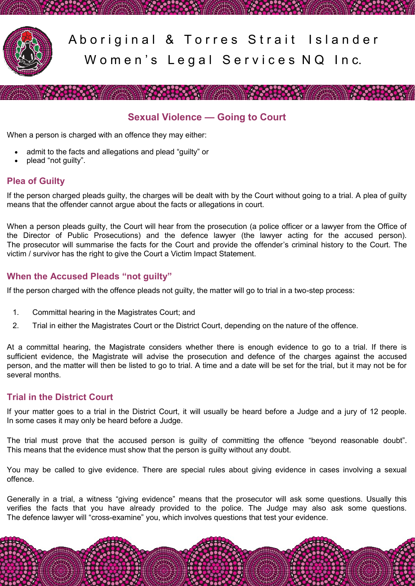

Aboriginal & Torres Strait Islander Women's Legal Services NQ Inc.

**All School Committee** 

## **Sexual Violence — Going to Court**

**CHARLES CONTROLLED BY AN ARTICLE** 

When a person is charged with an offence they may either:

- admit to the facts and allegations and plead "guilty" or
- plead "not guilty".

### **Plea of Guilty**

If the person charged pleads guilty, the charges will be dealt with by the Court without going to a trial. A plea of guilty means that the offender cannot argue about the facts or allegations in court.

When a person pleads guilty, the Court will hear from the prosecution (a police officer or a lawyer from the Office of the Director of Public Prosecutions) and the defence lawyer (the lawyer acting for the accused person). The prosecutor will summarise the facts for the Court and provide the offender's criminal history to the Court. The victim / survivor has the right to give the Court a Victim Impact Statement.

### **When the Accused Pleads "not guilty"**

If the person charged with the offence pleads not guilty, the matter will go to trial in a two-step process:

- 1. Committal hearing in the Magistrates Court; and
- 2. Trial in either the Magistrates Court or the District Court, depending on the nature of the offence.

At a committal hearing, the Magistrate considers whether there is enough evidence to go to a trial. If there is sufficient evidence, the Magistrate will advise the prosecution and defence of the charges against the accused person, and the matter will then be listed to go to trial. A time and a date will be set for the trial, but it may not be for several months.

### **Trial in the District Court**

If your matter goes to a trial in the District Court, it will usually be heard before a Judge and a jury of 12 people. In some cases it may only be heard before a Judge.

The trial must prove that the accused person is guilty of committing the offence "beyond reasonable doubt". This means that the evidence must show that the person is guilty without any doubt.

You may be called to give evidence. There are special rules about giving evidence in cases involving a sexual offence.

Generally in a trial, a witness "giving evidence" means that the prosecutor will ask some questions. Usually this verifies the facts that you have already provided to the police. The Judge may also ask some questions. The defence lawyer will "cross-examine" you, which involves questions that test your evidence.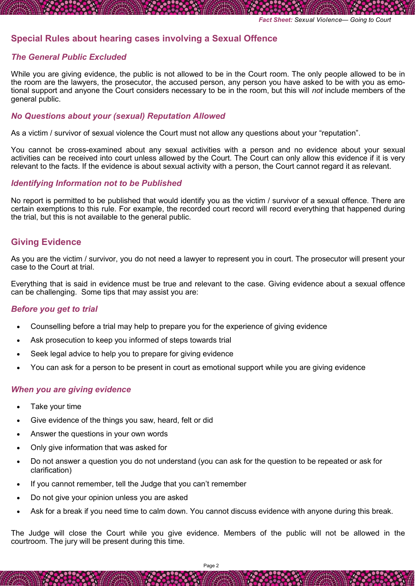### **Special Rules about hearing cases involving a Sexual Offence**

### *The General Public Excluded*

While you are giving evidence, the public is not allowed to be in the Court room. The only people allowed to be in the room are the lawyers, the prosecutor, the accused person, any person you have asked to be with you as emotional support and anyone the Court considers necessary to be in the room, but this will *not* include members of the general public.

#### *No Questions about your (sexual) Reputation Allowed*

As a victim / survivor of sexual violence the Court must not allow any questions about your "reputation".

You cannot be cross-examined about any sexual activities with a person and no evidence about your sexual activities can be received into court unless allowed by the Court. The Court can only allow this evidence if it is very relevant to the facts. If the evidence is about sexual activity with a person, the Court cannot regard it as relevant.

#### *Identifying Information not to be Published*

No report is permitted to be published that would identify you as the victim / survivor of a sexual offence. There are certain exemptions to this rule. For example, the recorded court record will record everything that happened during the trial, but this is not available to the general public.

### **Giving Evidence**

As you are the victim / survivor, you do not need a lawyer to represent you in court. The prosecutor will present your case to the Court at trial.

Everything that is said in evidence must be true and relevant to the case. Giving evidence about a sexual offence can be challenging. Some tips that may assist you are:

#### *Before you get to trial*

- Counselling before a trial may help to prepare you for the experience of giving evidence
- Ask prosecution to keep you informed of steps towards trial
- Seek legal advice to help you to prepare for giving evidence
- You can ask for a person to be present in court as emotional support while you are giving evidence

#### *When you are giving evidence*

- Take your time
- Give evidence of the things you saw, heard, felt or did
- Answer the questions in your own words
- Only give information that was asked for
- Do not answer a question you do not understand (you can ask for the question to be repeated or ask for clarification)
- If you cannot remember, tell the Judge that you can't remember
- Do not give your opinion unless you are asked
- Ask for a break if you need time to calm down. You cannot discuss evidence with anyone during this break.

The Judge will close the Court while you give evidence. Members of the public will not be allowed in the courtroom. The jury will be present during this time.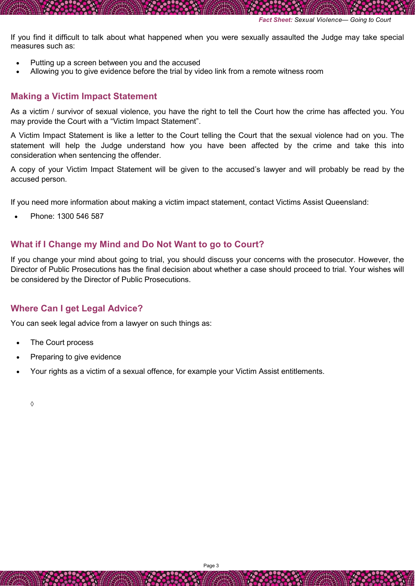If you find it difficult to talk about what happened when you were sexually assaulted the Judge may take special measures such as:

- Putting up a screen between you and the accused
- Allowing you to give evidence before the trial by video link from a remote witness room

### **Making a Victim Impact Statement**

As a victim / survivor of sexual violence, you have the right to tell the Court how the crime has affected you. You may provide the Court with a "Victim Impact Statement".

A Victim Impact Statement is like a letter to the Court telling the Court that the sexual violence had on you. The statement will help the Judge understand how you have been affected by the crime and take this into consideration when sentencing the offender.

A copy of your Victim Impact Statement will be given to the accused's lawyer and will probably be read by the accused person.

If you need more information about making a victim impact statement, contact Victims Assist Queensland:

Phone: 1300 546 587

### **What if I Change my Mind and Do Not Want to go to Court?**

If you change your mind about going to trial, you should discuss your concerns with the prosecutor. However, the Director of Public Prosecutions has the final decision about whether a case should proceed to trial. Your wishes will be considered by the Director of Public Prosecutions.

### **Where Can I get Legal Advice?**

You can seek legal advice from a lawyer on such things as:

- The Court process
- Preparing to give evidence
- Your rights as a victim of a sexual offence, for example your Victim Assist entitlements.

 $\Diamond$